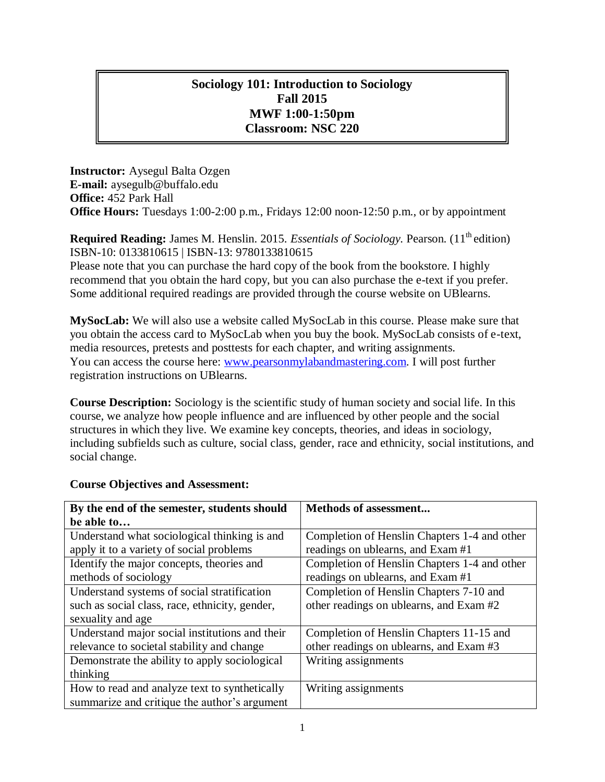### **Sociology 101: Introduction to Sociology Fall 2015 MWF 1:00-1:50pm Classroom: NSC 220**

**Instructor:** Aysegul Balta Ozgen **E-mail:** aysegulb@buffalo.edu **Office:** 452 Park Hall **Office Hours:** Tuesdays 1:00-2:00 p.m., Fridays 12:00 noon-12:50 p.m., or by appointment

**Required Reading:** James M. Henslin. 2015. *Essentials of Sociology*. Pearson. (11<sup>th</sup> edition) ISBN-10: 0133810615 | ISBN-13: 9780133810615

Please note that you can purchase the hard copy of the book from the bookstore. I highly recommend that you obtain the hard copy, but you can also purchase the e-text if you prefer. Some additional required readings are provided through the course website on UBlearns.

**MySocLab:** We will also use a website called MySocLab in this course. Please make sure that you obtain the access card to MySocLab when you buy the book. MySocLab consists of e-text, media resources, pretests and posttests for each chapter, and writing assignments. You can access the course here: [www.pearsonmylabandmastering.com.](www.pearsonmylabandmastering.com) I will post further registration instructions on UBlearns.

**Course Description:** Sociology is the scientific study of human society and social life. In this course, we analyze how people influence and are influenced by other people and the social structures in which they live. We examine key concepts, theories, and ideas in sociology, including subfields such as culture, social class, gender, race and ethnicity, social institutions, and social change.

| By the end of the semester, students should    | <b>Methods of assessment</b>                 |  |  |
|------------------------------------------------|----------------------------------------------|--|--|
| be able to                                     |                                              |  |  |
| Understand what sociological thinking is and   | Completion of Henslin Chapters 1-4 and other |  |  |
| apply it to a variety of social problems       | readings on ublearns, and Exam#1             |  |  |
| Identify the major concepts, theories and      | Completion of Henslin Chapters 1-4 and other |  |  |
| methods of sociology                           | readings on ublearns, and Exam#1             |  |  |
| Understand systems of social stratification    | Completion of Henslin Chapters 7-10 and      |  |  |
| such as social class, race, ethnicity, gender, | other readings on ublearns, and Exam #2      |  |  |
| sexuality and age                              |                                              |  |  |
| Understand major social institutions and their | Completion of Henslin Chapters 11-15 and     |  |  |
| relevance to societal stability and change     | other readings on ublearns, and Exam #3      |  |  |
| Demonstrate the ability to apply sociological  | Writing assignments                          |  |  |
| thinking                                       |                                              |  |  |
| How to read and analyze text to synthetically  | Writing assignments                          |  |  |
| summarize and critique the author's argument   |                                              |  |  |

#### **Course Objectives and Assessment:**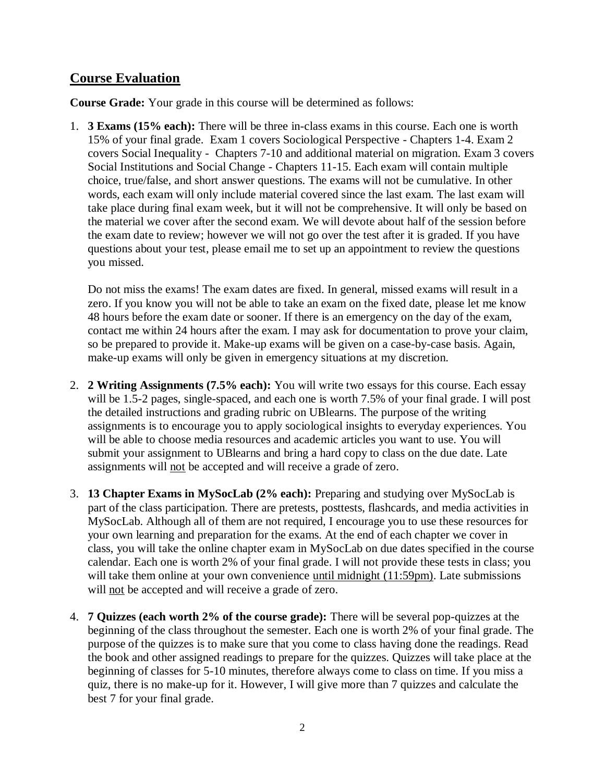## **Course Evaluation**

**Course Grade:** Your grade in this course will be determined as follows:

1. **3 Exams (15% each):** There will be three in-class exams in this course. Each one is worth 15% of your final grade. Exam 1 covers Sociological Perspective - Chapters 1-4. Exam 2 covers Social Inequality - Chapters 7-10 and additional material on migration. Exam 3 covers Social Institutions and Social Change - Chapters 11-15. Each exam will contain multiple choice, true/false, and short answer questions. The exams will not be cumulative. In other words, each exam will only include material covered since the last exam. The last exam will take place during final exam week, but it will not be comprehensive. It will only be based on the material we cover after the second exam. We will devote about half of the session before the exam date to review; however we will not go over the test after it is graded. If you have questions about your test, please email me to set up an appointment to review the questions you missed.

Do not miss the exams! The exam dates are fixed. In general, missed exams will result in a zero. If you know you will not be able to take an exam on the fixed date, please let me know 48 hours before the exam date or sooner. If there is an emergency on the day of the exam, contact me within 24 hours after the exam. I may ask for documentation to prove your claim, so be prepared to provide it. Make-up exams will be given on a case-by-case basis. Again, make-up exams will only be given in emergency situations at my discretion.

- 2. **2 Writing Assignments (7.5% each):** You will write two essays for this course. Each essay will be 1.5-2 pages, single-spaced, and each one is worth 7.5% of your final grade. I will post the detailed instructions and grading rubric on UBlearns. The purpose of the writing assignments is to encourage you to apply sociological insights to everyday experiences. You will be able to choose media resources and academic articles you want to use. You will submit your assignment to UBlearns and bring a hard copy to class on the due date. Late assignments will not be accepted and will receive a grade of zero.
- 3. **13 Chapter Exams in MySocLab (2% each):** Preparing and studying over MySocLab is part of the class participation. There are pretests, posttests, flashcards, and media activities in MySocLab. Although all of them are not required, I encourage you to use these resources for your own learning and preparation for the exams. At the end of each chapter we cover in class, you will take the online chapter exam in MySocLab on due dates specified in the course calendar. Each one is worth 2% of your final grade. I will not provide these tests in class; you will take them online at your own convenience until midnight (11:59pm). Late submissions will not be accepted and will receive a grade of zero.
- 4. **7 Quizzes (each worth 2% of the course grade):** There will be several pop-quizzes at the beginning of the class throughout the semester. Each one is worth 2% of your final grade. The purpose of the quizzes is to make sure that you come to class having done the readings. Read the book and other assigned readings to prepare for the quizzes. Quizzes will take place at the beginning of classes for 5-10 minutes, therefore always come to class on time. If you miss a quiz, there is no make-up for it. However, I will give more than 7 quizzes and calculate the best 7 for your final grade.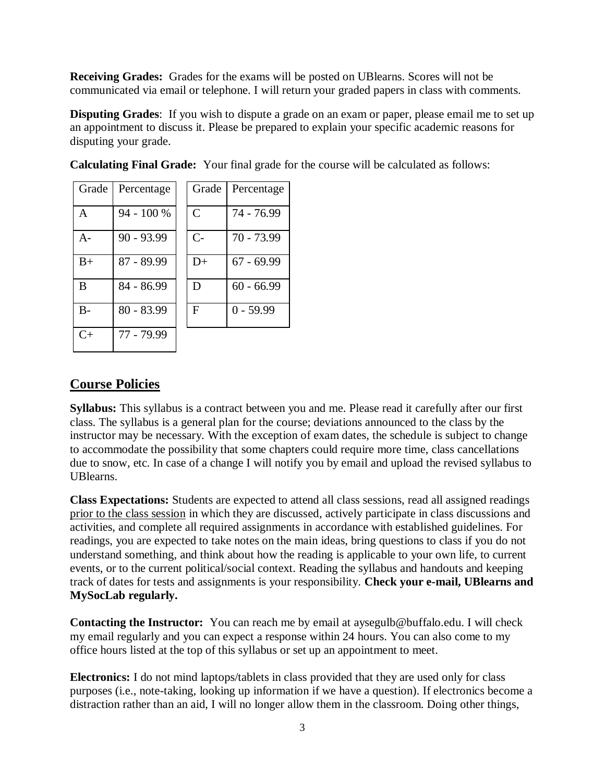**Receiving Grades:** Grades for the exams will be posted on UBlearns. Scores will not be communicated via email or telephone. I will return your graded papers in class with comments.

**Disputing Grades**: If you wish to dispute a grade on an exam or paper, please email me to set up an appointment to discuss it. Please be prepared to explain your specific academic reasons for disputing your grade.

| Grade     | Percentage   | Grade         | Percentage   |
|-----------|--------------|---------------|--------------|
| A         | 94 - 100 %   | $\mathcal{C}$ | 74 - 76.99   |
| $A -$     | $90 - 93.99$ | $C-$          | 70 - 73.99   |
| $B+$      | 87 - 89.99   | $D+$          | $67 - 69.99$ |
| B         | 84 - 86.99   | D             | $60 - 66.99$ |
| $B -$     | $80 - 83.99$ | F             | $0 - 59.99$  |
| $C_{\pm}$ | 77 - 79.99   |               |              |

**Calculating Final Grade:** Your final grade for the course will be calculated as follows:

## **Course Policies**

**Syllabus:** This syllabus is a contract between you and me. Please read it carefully after our first class. The syllabus is a general plan for the course; deviations announced to the class by the instructor may be necessary. With the exception of exam dates, the schedule is subject to change to accommodate the possibility that some chapters could require more time, class cancellations due to snow, etc. In case of a change I will notify you by email and upload the revised syllabus to UBlearns.

**Class Expectations:** Students are expected to attend all class sessions, read all assigned readings prior to the class session in which they are discussed, actively participate in class discussions and activities, and complete all required assignments in accordance with established guidelines. For readings, you are expected to take notes on the main ideas, bring questions to class if you do not understand something, and think about how the reading is applicable to your own life, to current events, or to the current political/social context. Reading the syllabus and handouts and keeping track of dates for tests and assignments is your responsibility. **Check your e-mail, UBlearns and MySocLab regularly.** 

**Contacting the Instructor:** You can reach me by email at aysegulb@buffalo.edu. I will check my email regularly and you can expect a response within 24 hours. You can also come to my office hours listed at the top of this syllabus or set up an appointment to meet.

**Electronics:** I do not mind laptops/tablets in class provided that they are used only for class purposes (i.e., note-taking, looking up information if we have a question). If electronics become a distraction rather than an aid, I will no longer allow them in the classroom. Doing other things,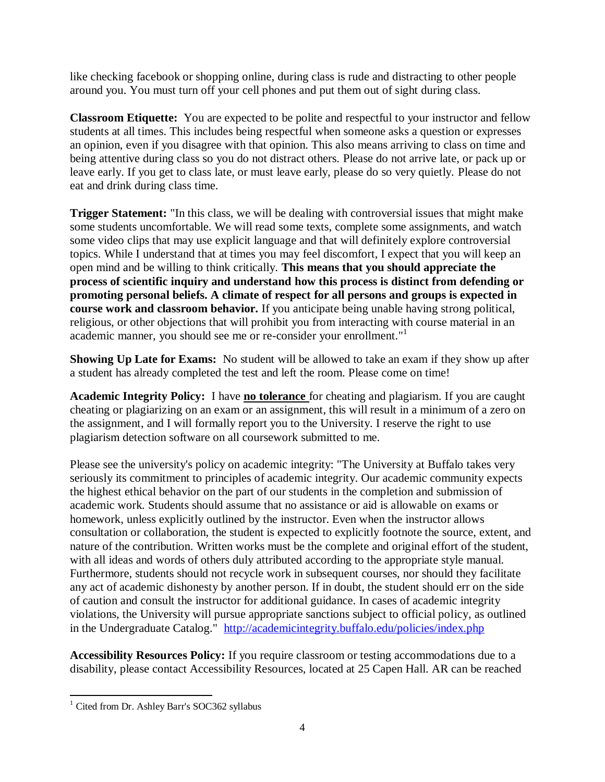like checking facebook or shopping online, during class is rude and distracting to other people around you. You must turn off your cell phones and put them out of sight during class.

**Classroom Etiquette:** You are expected to be polite and respectful to your instructor and fellow students at all times. This includes being respectful when someone asks a question or expresses an opinion, even if you disagree with that opinion. This also means arriving to class on time and being attentive during class so you do not distract others. Please do not arrive late, or pack up or leave early. If you get to class late, or must leave early, please do so very quietly. Please do not eat and drink during class time.

**Trigger Statement:** "In this class, we will be dealing with controversial issues that might make some students uncomfortable. We will read some texts, complete some assignments, and watch some video clips that may use explicit language and that will definitely explore controversial topics. While I understand that at times you may feel discomfort, I expect that you will keep an open mind and be willing to think critically. **This means that you should appreciate the process of scientific inquiry and understand how this process is distinct from defending or promoting personal beliefs. A climate of respect for all persons and groups is expected in course work and classroom behavior.** If you anticipate being unable having strong political, religious, or other objections that will prohibit you from interacting with course material in an academic manner, you should see me or re-consider your enrollment." 1

**Showing Up Late for Exams:** No student will be allowed to take an exam if they show up after a student has already completed the test and left the room. Please come on time!

**Academic Integrity Policy:** I have **no tolerance** for cheating and plagiarism. If you are caught cheating or plagiarizing on an exam or an assignment, this will result in a minimum of a zero on the assignment, and I will formally report you to the University. I reserve the right to use plagiarism detection software on all coursework submitted to me.

Please see the university's policy on academic integrity: "The University at Buffalo takes very seriously its commitment to principles of academic integrity. Our academic community expects the highest ethical behavior on the part of our students in the completion and submission of academic work. Students should assume that no assistance or aid is allowable on exams or homework, unless explicitly outlined by the instructor. Even when the instructor allows consultation or collaboration, the student is expected to explicitly footnote the source, extent, and nature of the contribution. Written works must be the complete and original effort of the student, with all ideas and words of others duly attributed according to the appropriate style manual. Furthermore, students should not recycle work in subsequent courses, nor should they facilitate any act of academic dishonesty by another person. If in doubt, the student should err on the side of caution and consult the instructor for additional guidance. In cases of academic integrity violations, the University will pursue appropriate sanctions subject to official policy, as outlined in the Undergraduate Catalog." <http://academicintegrity.buffalo.edu/policies/index.php>

**Accessibility Resources Policy:** If you require classroom or testing accommodations due to a disability, please contact Accessibility Resources, located at 25 Capen Hall. AR can be reached

 $\ddot{\phantom{a}}$ <sup>1</sup> Cited from Dr. Ashley Barr's SOC362 syllabus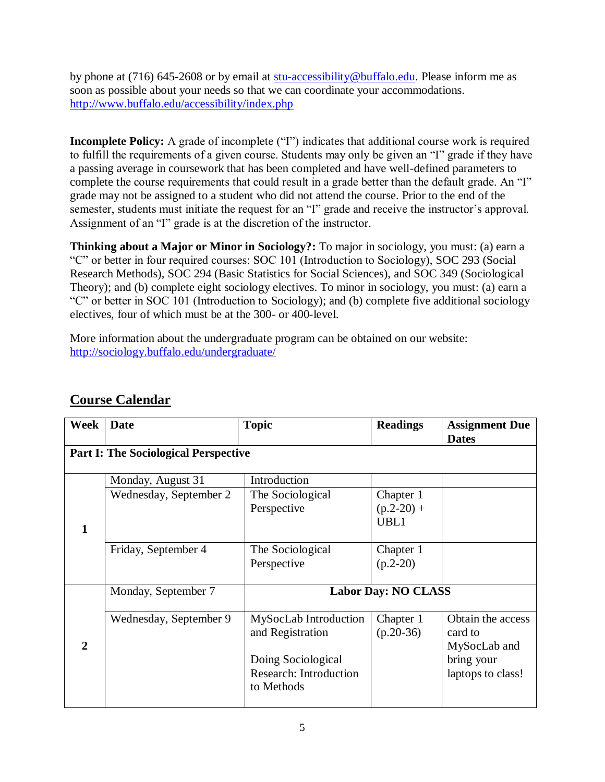by phone at (716) 645-2608 or by email at [stu-accessibility@buffalo.edu.](mailto:stu-accessibility@buffalo.edu) Please inform me as soon as possible about your needs so that we can coordinate your accommodations. <http://www.buffalo.edu/accessibility/index.php>

**Incomplete Policy:** A grade of incomplete ("I") indicates that additional course work is required to fulfill the requirements of a given course. Students may only be given an "I" grade if they have a passing average in coursework that has been completed and have well-defined parameters to complete the course requirements that could result in a grade better than the default grade. An "I" grade may not be assigned to a student who did not attend the course. Prior to the end of the semester, students must initiate the request for an "I" grade and receive the instructor's approval. Assignment of an "I" grade is at the discretion of the instructor.

**Thinking about a Major or Minor in Sociology?:** To major in sociology, you must: (a) earn a "C" or better in four required courses: SOC 101 (Introduction to Sociology), SOC 293 (Social Research Methods), SOC 294 (Basic Statistics for Social Sciences), and SOC 349 (Sociological Theory); and (b) complete eight sociology electives. To minor in sociology, you must: (a) earn a "C" or better in SOC 101 (Introduction to Sociology); and (b) complete five additional sociology electives, four of which must be at the 300- or 400-level.

More information about the undergraduate program can be obtained on our website: <http://sociology.buffalo.edu/undergraduate/>

| Week                                        | <b>Date</b>            | <b>Topic</b>               | <b>Readings</b> | <b>Assignment Due</b><br><b>Dates</b> |
|---------------------------------------------|------------------------|----------------------------|-----------------|---------------------------------------|
| <b>Part I: The Sociological Perspective</b> |                        |                            |                 |                                       |
|                                             | Monday, August 31      | Introduction               |                 |                                       |
|                                             | Wednesday, September 2 | The Sociological           | Chapter 1       |                                       |
|                                             |                        | Perspective                | $(p.2-20) +$    |                                       |
| 1                                           |                        |                            | UBL1            |                                       |
|                                             |                        |                            |                 |                                       |
|                                             | Friday, September 4    | The Sociological           | Chapter 1       |                                       |
|                                             |                        | Perspective                | $(p.2-20)$      |                                       |
|                                             | Monday, September 7    | <b>Labor Day: NO CLASS</b> |                 |                                       |
|                                             |                        |                            |                 |                                       |
|                                             | Wednesday, September 9 | MySocLab Introduction      | Chapter 1       | Obtain the access                     |
|                                             |                        | and Registration           | $(p.20-36)$     | card to                               |
| $\mathbf{2}$                                |                        |                            |                 | MySocLab and                          |
|                                             |                        | Doing Sociological         |                 | bring your                            |
|                                             |                        | Research: Introduction     |                 | laptops to class!                     |
|                                             |                        | to Methods                 |                 |                                       |
|                                             |                        |                            |                 |                                       |

## **Course Calendar**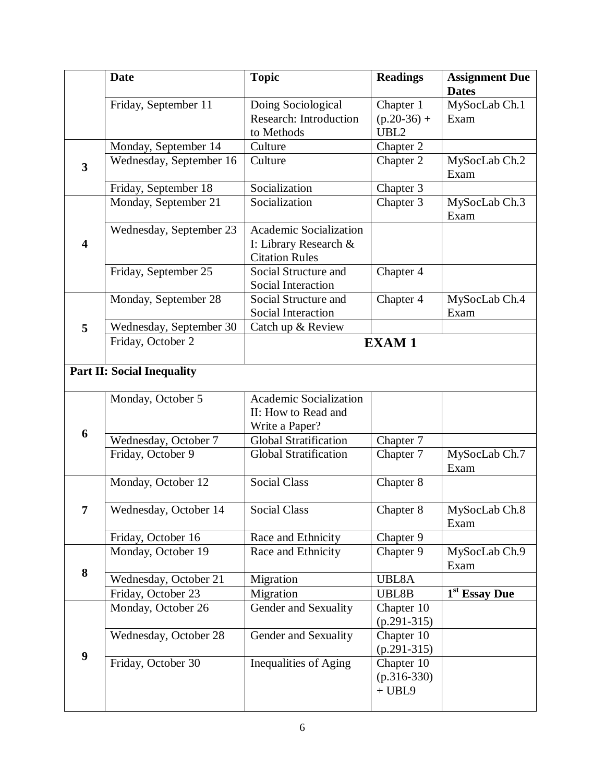|                         | <b>Date</b>                       | <b>Topic</b>                                                                    | <b>Readings</b>                         | <b>Assignment Due</b>     |  |
|-------------------------|-----------------------------------|---------------------------------------------------------------------------------|-----------------------------------------|---------------------------|--|
|                         |                                   |                                                                                 |                                         | <b>Dates</b>              |  |
|                         | Friday, September 11              | Doing Sociological                                                              | Chapter 1                               | MySocLab Ch.1             |  |
|                         |                                   | Research: Introduction                                                          | $(p.20-36) +$                           | Exam                      |  |
|                         |                                   | to Methods                                                                      | UBL2                                    |                           |  |
|                         | Monday, September 14              | Culture                                                                         | Chapter 2                               |                           |  |
| $\overline{\mathbf{3}}$ | Wednesday, September 16           | Culture                                                                         | Chapter 2                               | MySocLab Ch.2<br>Exam     |  |
|                         | Friday, September 18              | Socialization                                                                   | Chapter 3                               |                           |  |
|                         | Monday, September 21              | Socialization                                                                   | Chapter 3                               | MySocLab Ch.3<br>Exam     |  |
| $\overline{\mathbf{4}}$ | Wednesday, September 23           | <b>Academic Socialization</b><br>I: Library Research &<br><b>Citation Rules</b> |                                         |                           |  |
|                         | Friday, September 25              | Social Structure and<br>Social Interaction                                      | Chapter 4                               |                           |  |
|                         | Monday, September 28              | Social Structure and<br>Social Interaction                                      | Chapter 4                               | MySocLab Ch.4<br>Exam     |  |
| 5                       | Wednesday, September 30           | Catch up & Review                                                               |                                         |                           |  |
|                         | Friday, October 2                 | <b>EXAM1</b>                                                                    |                                         |                           |  |
|                         | <b>Part II: Social Inequality</b> |                                                                                 |                                         |                           |  |
|                         |                                   |                                                                                 |                                         |                           |  |
|                         | Monday, October 5                 | <b>Academic Socialization</b><br>II: How to Read and<br>Write a Paper?          |                                         |                           |  |
| 6                       | Wednesday, October 7              | <b>Global Stratification</b>                                                    | Chapter 7                               |                           |  |
|                         | Friday, October 9                 | <b>Global Stratification</b>                                                    | Chapter 7                               | MySocLab Ch.7<br>Exam     |  |
|                         | Monday, October 12                | <b>Social Class</b>                                                             | Chapter 8                               |                           |  |
| 7                       | Wednesday, October 14             | <b>Social Class</b>                                                             | Chapter 8                               | MySocLab Ch.8<br>Exam     |  |
|                         | Friday, October 16                | Race and Ethnicity                                                              | Chapter 9                               |                           |  |
|                         | Monday, October 19                | Race and Ethnicity                                                              | Chapter 9                               | MySocLab Ch.9<br>Exam     |  |
| 8                       | Wednesday, October 21             | Migration                                                                       | UBL8A                                   |                           |  |
|                         | Friday, October 23                | Migration                                                                       | UBL8B                                   | 1 <sup>st</sup> Essay Due |  |
|                         | Monday, October 26                | Gender and Sexuality                                                            | Chapter 10                              |                           |  |
|                         |                                   |                                                                                 | $(p.291-315)$                           |                           |  |
|                         | Wednesday, October 28             | Gender and Sexuality                                                            | Chapter 10<br>$(p.291-315)$             |                           |  |
| $\boldsymbol{9}$        | Friday, October 30                | Inequalities of Aging                                                           | Chapter 10<br>$(p.316-330)$<br>$+ UBL9$ |                           |  |